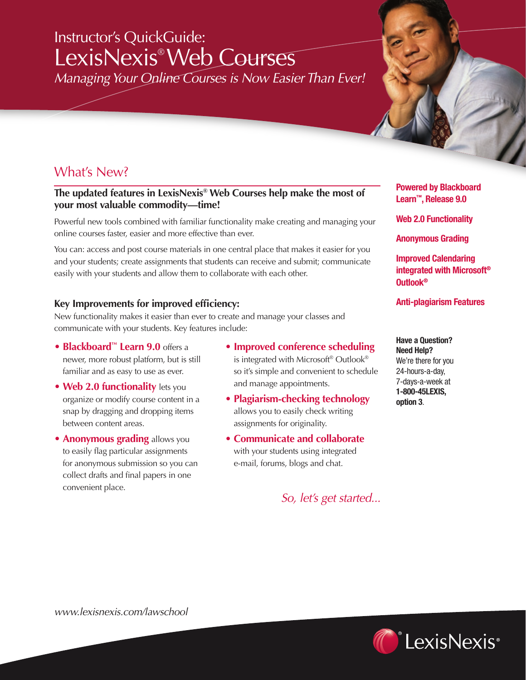# Instructor's QuickGuide: LexisNexis® Web Courses

*Managing Your Online Courses is Now Easier Than Ever!*

## What's New?

#### **The updated features in LexisNexis® Web Courses help make the most of your most valuable commodity—time!**

Powerful new tools combined with familiar functionality make creating and managing your online courses faster, easier and more effective than ever.

You can: access and post course materials in one central place that makes it easier for you and your students; create assignments that students can receive and submit; communicate easily with your students and allow them to collaborate with each other.

#### **Key Improvements for improved efficiency:**

New functionality makes it easier than ever to create and manage your classes and communicate with your students. Key features include:

- **Blackboard™ Learn 9.0** offers a newer, more robust platform, but is still familiar and as easy to use as ever.
- **Web 2.0 functionality** lets you organize or modify course content in a snap by dragging and dropping items between content areas.
- **Anonymous grading** allows you to easily flag particular assignments for anonymous submission so you can collect drafts and final papers in one convenient place.
- **Improved conference scheduling** is integrated with Microsoft® Outlook® so it's simple and convenient to schedule and manage appointments.
- **Plagiarism-checking technology** allows you to easily check writing assignments for originality.
- **Communicate and collaborate** with your students using integrated e-mail, forums, blogs and chat.

*So, let's get started...*

**Powered by Blackboard Learn™, Release 9.0**

**Web 2.0 Functionality**

**Anonymous Grading**

**Improved Calendaring integrated with Microsoft® Outlook®**

**Anti-plagiarism Features** 

**Have a Question? Need Help?** We're there for you 24-hours-a-day, 7-days-a-week at **1-800-45LEXIS, option 3**.

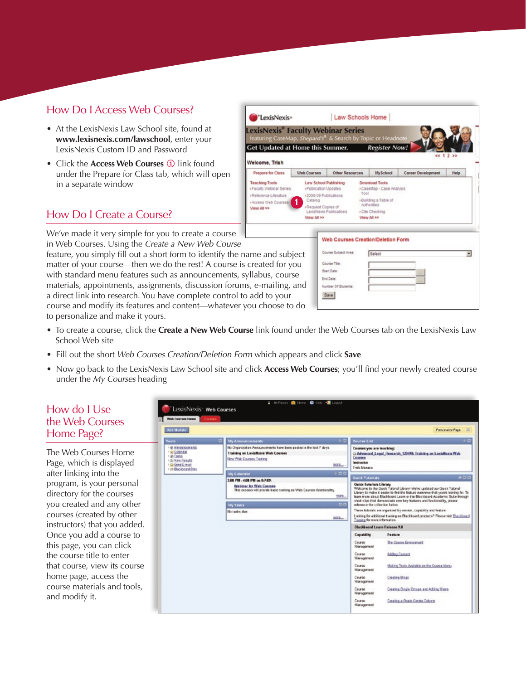## How Do I Access Web Courses?

- At the LexisNexis Law School site, found at **www.lexisnexis.com/lawschool**, enter your LexisNexis Custom ID and Password
- Click the **Access Web Courses** 1 link found under the Prepare for Class tab, which will open in a separate window

## How Do I Create a Course?

We've made it very simple for you to create a course in Web Courses. Using the *Create a New Web Course*

feature, you simply fill out a short form to identify the name and matter of your course—then we do the rest! A course is creat with standard menu features such as announcements, syllabus materials, appointments, assignments, discussion forums, e-n a direct link into research. You have complete control to add course and modify its features and content—whatever you choose to do to personalize and make it yours.

| <b>Co</b> 'LexisNexis•                                                                                           |                                                                                                             |                                                                                                                                                      | Law Schools Home                                                                                                                                                                |                      |                           |             |  |
|------------------------------------------------------------------------------------------------------------------|-------------------------------------------------------------------------------------------------------------|------------------------------------------------------------------------------------------------------------------------------------------------------|---------------------------------------------------------------------------------------------------------------------------------------------------------------------------------|----------------------|---------------------------|-------------|--|
| exisNexis® Faculty Webinar Series<br>featuring CaseMap, Shepard's® & Search by Topic or Headnote                 |                                                                                                             |                                                                                                                                                      |                                                                                                                                                                                 |                      |                           |             |  |
| Get Updated at Home this Summer.                                                                                 |                                                                                                             |                                                                                                                                                      |                                                                                                                                                                                 | <b>Register Now!</b> |                           | ec 1 2 >>   |  |
| Velcome, Trish<br>Prepare for Class<br><b>Web Courses</b>                                                        |                                                                                                             | <b>Other Resources</b>                                                                                                                               |                                                                                                                                                                                 | <b>MySchool</b>      | <b>Career Development</b> | <b>Help</b> |  |
| <b>Teaching Tools</b><br>» Faculty Webinar Series<br>»Reference Literature<br>>Access Web Courses<br>View All >> | <b><i>»Publication Updates</i></b><br>+2008-09 Publications<br>Catalog<br>-Request Copies of<br>View All >> |                                                                                                                                                      | Download Tools<br>Law School Publishing<br>>CaseMap - Case Analysis<br>Tool<br>»Building a Table of<br>Authorities<br>LexisNexis Publications<br>» Cite Checking<br>View All >> |                      |                           |             |  |
| me and subject<br>created for you<br>llabus, course<br>, e-mailing, and<br>add to your                           |                                                                                                             | Web Courses Creation/Deletion Form<br>Course Subject Area:<br>Course Title:<br><b>Start Date:</b><br><b>End Date:</b><br>Number Of Students:<br>Save |                                                                                                                                                                                 | Select               |                           | ×           |  |

• To create a course, click the **Create a New Web Course** link found under the Web Courses tab on the LexisNexis Law School Web site

Lexis  $\overline{Get U}$ Welcon Prepa Teachin »Faculty

- Fill out the short *Web Courses Creation/Deletion Form* which appears and click **Save**
- Now go back to the LexisNexis Law School site and click **Access Web Courses**; you'll find your newly created course under the *My Courses* heading

#### How do I Use the Web Courses Home Page?

The Web Courses Home Page, which is displayed after linking into the program, is your personal directory for the courses you created and any other courses (created by other instructors) that you added. Once you add a course to this page, you can click the course title to enter that course, view its course home page, access the course materials and tools, and modify it.

| Add Modula                                                                                                               |                                                                                                                                                                |                                      | <b>Personalize Page</b>                                                                                                                                                                                                                                                                                                                                                                                                                                                                                                                                                                |  |  |
|--------------------------------------------------------------------------------------------------------------------------|----------------------------------------------------------------------------------------------------------------------------------------------------------------|--------------------------------------|----------------------------------------------------------------------------------------------------------------------------------------------------------------------------------------------------------------------------------------------------------------------------------------------------------------------------------------------------------------------------------------------------------------------------------------------------------------------------------------------------------------------------------------------------------------------------------------|--|--|
| Tools                                                                                                                    | My Announcements<br>$\sim$                                                                                                                                     | <b>Course List</b>                   |                                                                                                                                                                                                                                                                                                                                                                                                                                                                                                                                                                                        |  |  |
| 1 @ Announcements<br><b>El Color dar</b><br>1 SR Tacks<br>I di View Results<br>1 El Dond E-mail<br>1 im Discippeard Over | No Organization Awaqueconexts have been posted in the lost 7 days.<br><b>Training on LoxicNexis Web Courses</b><br><b>Now Wob Courses Training</b><br>322      | Семпев<br>Instructor<br>Trick Manaco | Courses you are teaching:<br>C Advanced Legal Research 129490: Training on LexisWexis Web                                                                                                                                                                                                                                                                                                                                                                                                                                                                                              |  |  |
|                                                                                                                          | 500<br><b>My Calendar</b>                                                                                                                                      | <b>Cuick Tutorials</b>               |                                                                                                                                                                                                                                                                                                                                                                                                                                                                                                                                                                                        |  |  |
|                                                                                                                          | 3:00 PM - 4:00 PM on 0.7.05:                                                                                                                                   | <b>Ouick Tuterials Library</b>       | 000                                                                                                                                                                                                                                                                                                                                                                                                                                                                                                                                                                                    |  |  |
|                                                                                                                          | Weblinar for Web Courses<br>This session will provide basic treining on Web Courses functionality.<br>more<br>50<br><b>My Tasks</b><br>No tasks doe<br>$332 -$ |                                      | Walcome to the Deek Tutorial Library! We've updated our Quick Tutorial<br>Library to make it easier to find the fasture overwere that you're lesking for. To<br>learn more about Elackboard Learn or the Elackboard Academic Suite through<br>shot clos that demonstrate new key leatures and functionality, please<br>relevence the collection below.<br>These tutorials are erganized by version, capability and feature<br>Looking for additional training on Blackboard products? Please visit Elackboard<br>Training for more information.<br><b>Blackboard Learn Release 9.8</b> |  |  |
|                                                                                                                          |                                                                                                                                                                |                                      |                                                                                                                                                                                                                                                                                                                                                                                                                                                                                                                                                                                        |  |  |
|                                                                                                                          |                                                                                                                                                                | <b>Capability</b>                    | Feature                                                                                                                                                                                                                                                                                                                                                                                                                                                                                                                                                                                |  |  |
|                                                                                                                          |                                                                                                                                                                | Caurse<br>Management                 | The Course Emissancet                                                                                                                                                                                                                                                                                                                                                                                                                                                                                                                                                                  |  |  |
|                                                                                                                          |                                                                                                                                                                | Course<br>Management                 | <b>Adding Centers</b>                                                                                                                                                                                                                                                                                                                                                                                                                                                                                                                                                                  |  |  |
|                                                                                                                          |                                                                                                                                                                | Course<br>Management                 | Making Tests Available on the Counte Menu                                                                                                                                                                                                                                                                                                                                                                                                                                                                                                                                              |  |  |
|                                                                                                                          |                                                                                                                                                                | Course<br>Monagonent                 | <b>Cleating Blogs</b>                                                                                                                                                                                                                                                                                                                                                                                                                                                                                                                                                                  |  |  |
|                                                                                                                          |                                                                                                                                                                | Course<br>Monagement                 | Creating Single Groups and Adding Users                                                                                                                                                                                                                                                                                                                                                                                                                                                                                                                                                |  |  |
|                                                                                                                          |                                                                                                                                                                | Ceurse                               |                                                                                                                                                                                                                                                                                                                                                                                                                                                                                                                                                                                        |  |  |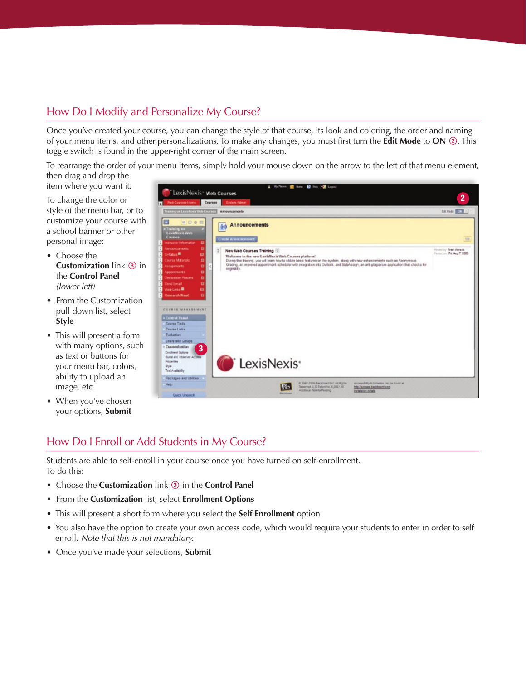## How Do I Modify and Personalize My Course?

Once you've created your course, you can change the style of that course, its look and coloring, the order and naming of your menu items, and other personalizations. To make any changes, you must first turn the **Edit Mode** to **ON** 2. This toggle switch is found in the upper-right corner of the main screen.

To rearrange the order of your menu items, simply hold your mouse down on the arrow to the left of that menu element, then drag and drop the

item where you want it.

To change the color or style of the menu bar, or to customize your course with a school banner or other personal image:

- Choose the **Customization** link 3 in the **Control Panel** *(lower left)*
- From the Customization pull down list, select **Style**
- This will present a form with many options, such as text or buttons for your menu bar, colors, ability to upload an image, etc.
- When you've chosen your options, **Submit**



## How Do I Enroll or Add Students in My Course?

Students are able to self-enroll in your course once you have turned on self-enrollment. To do this:

- Choose the **Customization** link 3 in the **Control Panel**
- From the **Customization** list, select **Enrollment Options**
- This will present a short form where you select the **Self Enrollment** option
- You also have the option to create your own access code, which would require your students to enter in order to self enroll. *Note that this is not mandatory.*
- Once you've made your selections, **Submit**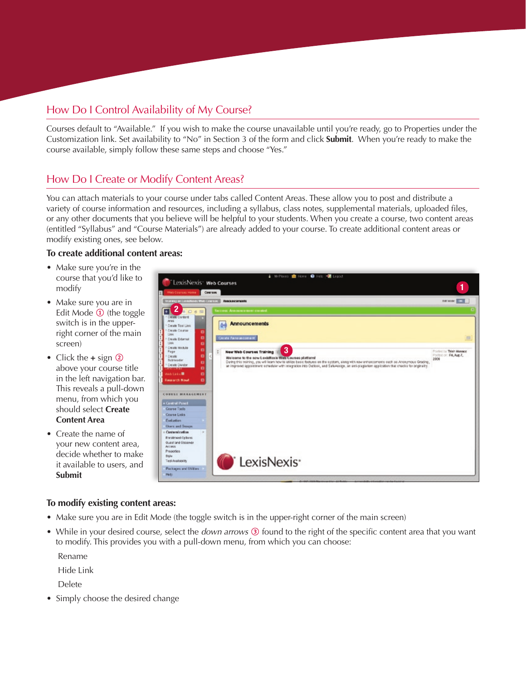## How Do I Control Availability of My Course?

Courses default to "Available." If you wish to make the course unavailable until you're ready, go to Properties under the Customization link. Set availability to "No" in Section 3 of the form and click **Submit**. When you're ready to make the course available, simply follow these same steps and choose "Yes."

## How Do I Create or Modify Content Areas?

You can attach materials to your course under tabs called Content Areas. These allow you to post and distribute a variety of course information and resources, including a syllabus, class notes, supplemental materials, uploaded files, or any other documents that you believe will be helpful to your students. When you create a course, two content areas (entitled "Syllabus" and "Course Materials") are already added to your course. To create additional content areas or modify existing ones, see below.

#### **To create additional content areas:**

- Make sure you're in the course that you'd like to modify
- Make sure you are in Edit Mode  $\Phi$  (the toggle switch is in the upperright corner of the main screen)
- Click the **+** sign 2 above your course title in the left navigation bar. This reveals a pull-down menu, from which you should select **Create Content Area**
- Create the name of your new content area, decide whether to make it available to users, and **Submit**



#### **To modify existing content areas:**

- Make sure you are in Edit Mode (the toggle switch is in the upper-right corner of the main screen)
- While in your desired course, select the *down arrows* 3 found to the right of the specific content area that you want to modify. This provides you with a pull-down menu, from which you can choose:

Rename

Hide Link

Delete

• Simply choose the desired change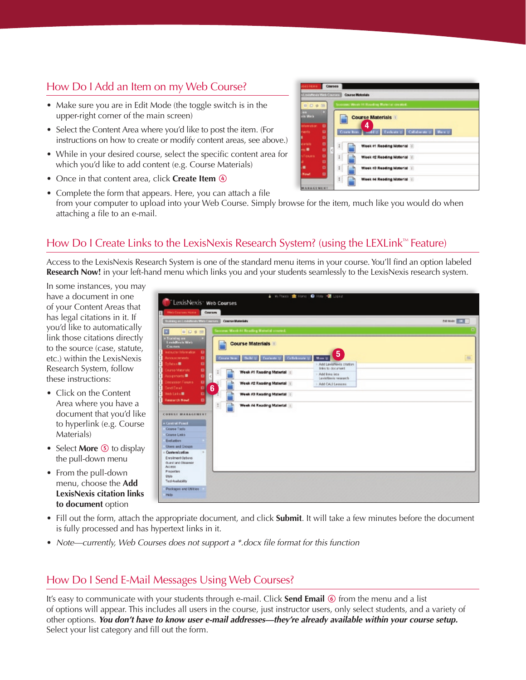## How Do I Add an Item on my Web Course?

- Make sure you are in Edit Mode (the toggle switch is in the upper-right corner of the main screen)
- Select the Content Area where you'd like to post the item. (For instructions on how to create or modify content areas, see above.)
- While in your desired course, select the specific content area for which you'd like to add content (e.g. Course Materials)
- Once in that content area, click **Create Item** 4
- Complete the form that appears. Here, you can attach a file from your computer to upload into your Web Course. Simply browse for the item, much like you would do when attaching a file to an e-mail.

## How Do I Create Links to the LexisNexis Research System? (using the LEXLink™ Feature)

Access to the LexisNexis Research System is one of the standard menu items in your course. You'll find an option labeled **Research Now!** in your left-hand menu which links you and your students seamlessly to the LexisNexis research system.

In some instances, you may have a document in one of your Content Areas that has legal citations in it. If you'd like to automatically link those citations directly to the source (case, statute, etc.) within the LexisNexis Research System, follow these instructions:

- Click on the Content Area where you have a document that you'd like to hyperlink (e.g. Course Materials)
- Select **More 5** to display the pull-down menu
- From the pull-down menu, choose the **Add LexisNexis citation links to document** option

| "LexisNexis" Web Courses<br>Web Courses Home<br><b>Courses</b>                                                                                                                                                                                                                  |                                                                      | ▲ Williams   全 Home   ● Holp   但 Logest                                |              |
|---------------------------------------------------------------------------------------------------------------------------------------------------------------------------------------------------------------------------------------------------------------------------------|----------------------------------------------------------------------|------------------------------------------------------------------------|--------------|
| Training on Lush House Wint Counses                                                                                                                                                                                                                                             | Course Materials                                                     |                                                                        | network C.L. |
| ø<br>田口日間                                                                                                                                                                                                                                                                       | Socress: Wenk At Reading Material created.                           |                                                                        |              |
| Training on<br>Lexistics is Web<br><b>Causes</b><br>instructor Information<br>ш                                                                                                                                                                                                 | <b>Course Materials</b>                                              | $5\phantom{.0}$                                                        |              |
| Ð<br>Associations<br>ø<br>Sylvian III                                                                                                                                                                                                                                           | <b>Belli St. Evaluate St. Collaborate St.</b><br><b>Constit News</b> | More 22<br>Add LaxisNavis clusion                                      | <b>INK</b>   |
| Caurea Materiale<br>۰<br>$\ddot{\phantom{a}}$<br>Assembled B<br>۰                                                                                                                                                                                                               | Week #1 Reading Material                                             | Information of the arms and<br>- Add links into<br>Lesistèris research |              |
| юI<br>Discussion Forums<br>6<br>Ð<br><b>Send Email</b>                                                                                                                                                                                                                          | Week #2 Reading Material                                             | Add CALLERING                                                          |              |
| Web Links <sup>18</sup><br>$\blacksquare$                                                                                                                                                                                                                                       | Week #3 Reading Material                                             |                                                                        |              |
| <b>Research Now!</b><br>п<br>$\pm$<br>COURSE MANAGEMEN<br><b>A Central Puncti</b><br>Course Tools<br>Course Links<br>Evolution<br>Users and Groups<br>Customization<br>m.<br>Enrolment Octons<br><b>Guidi and Objainer</b><br>Actess<br>Propieties<br>SMs.<br>Tool Availability | Week #4 Reading Material                                             |                                                                        |              |
| Pockages and Utilizies<br><b>Help</b>                                                                                                                                                                                                                                           |                                                                      |                                                                        |              |

- Fill out the form, attach the appropriate document, and click **Submit**. It will take a few minutes before the document is fully processed and has hypertext links in it.
- *Note—currently, Web Courses does not support a \*.docx file format for this function*

## How Do I Send E-Mail Messages Using Web Courses?

It's easy to communicate with your students through e-mail. Click **Send Email 6** from the menu and a list of options will appear. This includes all users in the course, just instructor users, only select students, and a variety of other options. *You don't have to know user e-mail addresses—they're already available within your course setup.*  Select your list category and fill out the form.

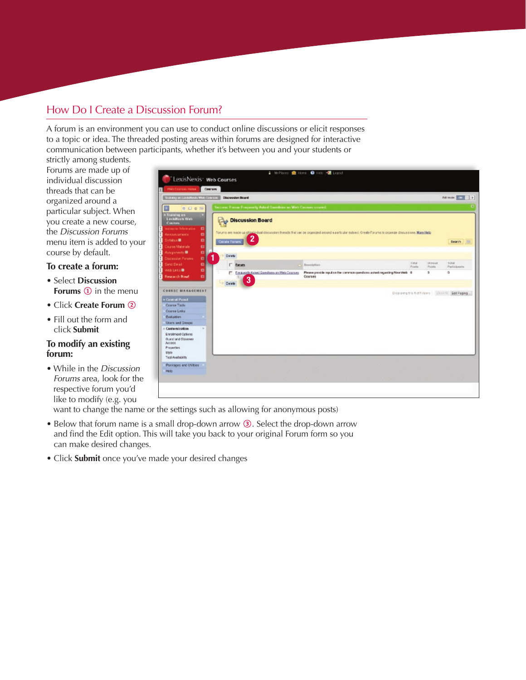## How Do I Create a Discussion Forum?

A forum is an environment you can use to conduct online discussions or elicit responses to a topic or idea. The threaded posting areas within forums are designed for interactive communication between participants, whether it's between you and your students or

strictly among students. Forums are made up of individual discussion threads that can be organized around a particular subject. When you create a new course, the *Discussion Forums* menu item is added to your course by default.

#### **To create a forum:**

- Select **Discussion Forums 1** in the menu
- Click **Create Forum** 2
- Fill out the form and click **Submit**

#### **To modify an existing forum:**

• While in the *Discussion Forums* area, look for the respective forum you'd like to modify (e.g. you

| LexisNexis <sup>-</sup> Web Courses                                                                                                                                                                       |                                                                          |                                                                                                                                                       |                                                  |                        |                         |
|-----------------------------------------------------------------------------------------------------------------------------------------------------------------------------------------------------------|--------------------------------------------------------------------------|-------------------------------------------------------------------------------------------------------------------------------------------------------|--------------------------------------------------|------------------------|-------------------------|
| Web Courses Home                                                                                                                                                                                          | Courses                                                                  |                                                                                                                                                       |                                                  |                        |                         |
| Trustning on Lookstevin, Wilds Cours in  Discussion Dealer                                                                                                                                                |                                                                          |                                                                                                                                                       |                                                  |                        | <b>Bill Avenue 1999</b> |
| ø<br><b>BOSN</b>                                                                                                                                                                                          | <b>Service: Force: Frequently Asked Questions on Web Counses created</b> |                                                                                                                                                       |                                                  |                        |                         |
| * Training on<br>Louistics's Web<br><b>Country</b><br>Instructor Information<br>$\blacksquare$<br><b>Announcements</b><br>ø<br>Sylider <b>B</b><br>o<br>Caurse Materials<br>Assignments <sup>1</sup><br>o | Discussion Board<br>$\mathbf{2}$<br><b>Create Ferram</b>                 | Forums are made up of included discussion threads that can be organized around a particular subject. Orante Forums to organize discussions. More Help |                                                  |                        | Search [11]             |
| ol<br>Discussion Forums                                                                                                                                                                                   | Detelle<br>1                                                             |                                                                                                                                                       |                                                  |                        |                         |
| Send Email<br>۰                                                                                                                                                                                           | <b>E</b> Escum                                                           | Boneription                                                                                                                                           | <b>THE</b><br>Punita <sup>1</sup>                | <b>JEWELE</b><br>Punta | Tekal.<br>Participanta  |
| Web Links <sup>®</sup><br>$\blacksquare$<br>ol<br><b>Research Now!</b>                                                                                                                                    | [7] Frequently Asked Garedians an Web Courses<br>3<br>Delete             | Please poside isput on the common questions asked regarding New Web 6<br>Courses                                                                      |                                                  | ٠                      | ۰                       |
| <b>COURSE MANAGEMENT</b><br>* Central Panel<br>Course Tools<br>Course Links<br><b>Evaluation</b>                                                                                                          |                                                                          |                                                                                                                                                       | Depleing fits ficht donn in interest. Got Paging |                        |                         |
| Upers and George                                                                                                                                                                                          |                                                                          |                                                                                                                                                       |                                                  |                        |                         |
| A Casternization<br>$\mathcal{L}$<br>Enrolment Options<br>Ourst and Observes<br>Actoon<br>Properties.<br>Style.<br>Tool Availability                                                                      |                                                                          |                                                                                                                                                       |                                                  |                        |                         |
|                                                                                                                                                                                                           |                                                                          |                                                                                                                                                       |                                                  |                        |                         |

want to change the name or the settings such as allowing for anonymous posts)

- Below that forum name is a small drop-down arrow 3. Select the drop-down arrow and find the Edit option. This will take you back to your original Forum form so you can make desired changes.
- Click **Submit** once you've made your desired changes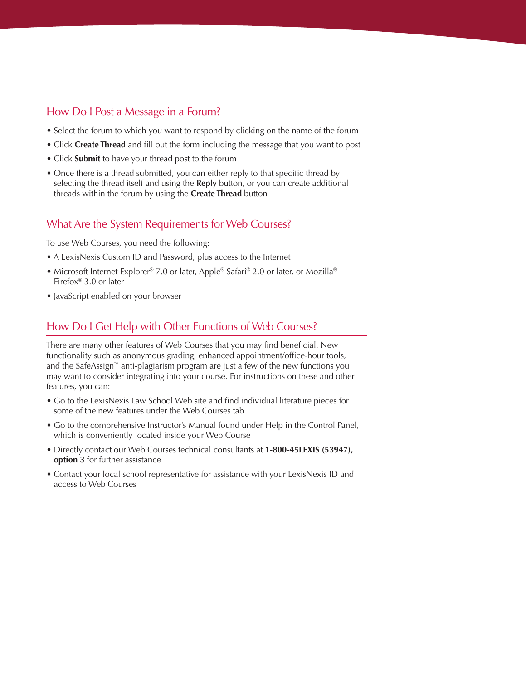#### How Do I Post a Message in a Forum?

- Select the forum to which you want to respond by clicking on the name of the forum
- Click **Create Thread** and fill out the form including the message that you want to post
- Click **Submit** to have your thread post to the forum
- Once there is a thread submitted, you can either reply to that specific thread by selecting the thread itself and using the **Reply** button, or you can create additional threads within the forum by using the **Create Thread** button

#### What Are the System Requirements for Web Courses?

To use Web Courses, you need the following:

- A LexisNexis Custom ID and Password, plus access to the Internet
- Microsoft Internet Explorer® 7.0 or later, Apple® Safari® 2.0 or later, or Mozilla® Firefox® 3.0 or later
- JavaScript enabled on your browser

### How Do I Get Help with Other Functions of Web Courses?

There are many other features of Web Courses that you may find beneficial. New functionality such as anonymous grading, enhanced appointment/office-hour tools, and the SafeAssign™ anti-plagiarism program are just a few of the new functions you may want to consider integrating into your course. For instructions on these and other features, you can:

- Go to the LexisNexis Law School Web site and find individual literature pieces for some of the new features under the Web Courses tab
- Go to the comprehensive Instructor's Manual found under Help in the Control Panel, which is conveniently located inside your Web Course
- Directly contact our Web Courses technical consultants at **1-800-45LEXIS (53947), option 3** for further assistance
- Contact your local school representative for assistance with your LexisNexis ID and access to Web Courses